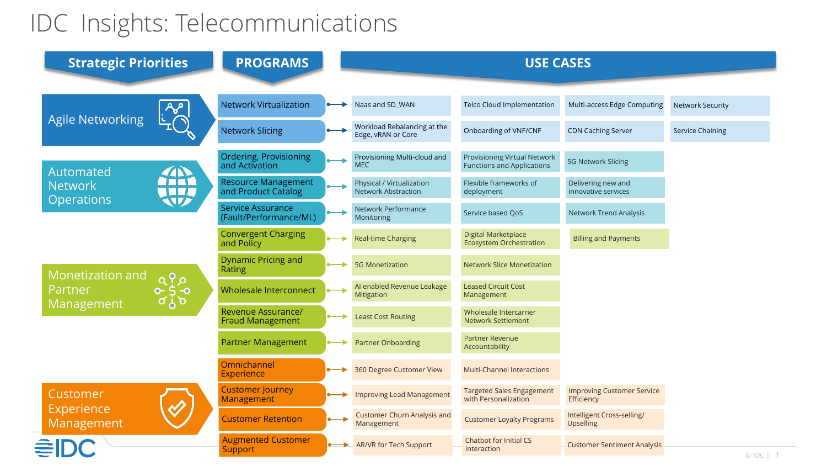## IDC Insights: Telecommunications